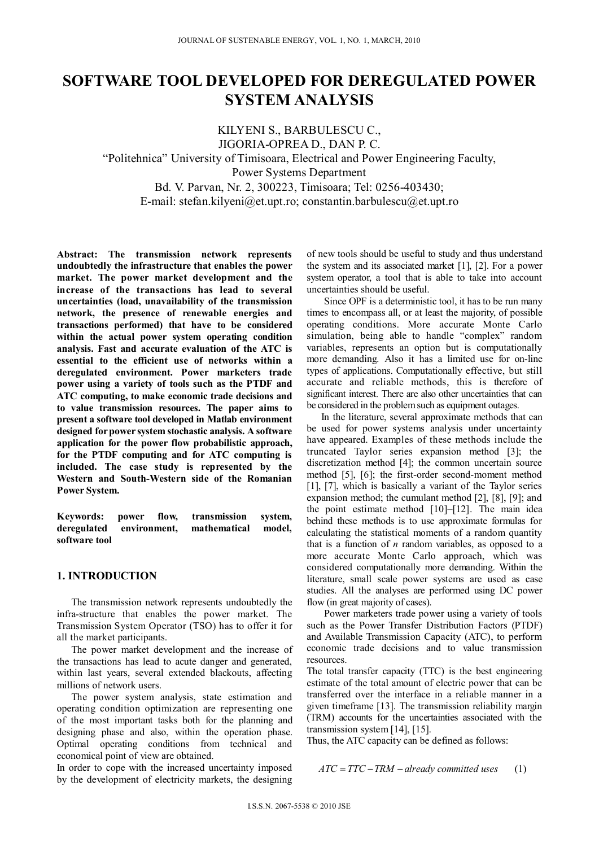# **SOFTWARE TOOL DEVELOPED FOR DEREGULATED POWER SYSTEM ANALYSIS**

KILYENI S., BARBULESCU C., JIGORIA-OPREA D., DAN P. C. "Politehnica" University of Timisoara, Electrical and Power Engineering Faculty, Power Systems Department Bd. V. Parvan, Nr. 2, 300223, Timisoara; Tel: 0256-403430; E-mail: stefan.kilyeni@et.upt.ro; constantin.barbulescu@et.upt.ro

**Abstract: The transmission network represents undoubtedly the infrastructure that enables the power market. The power market development and the increase of the transactions has lead to several uncertainties (load, unavailability of the transmission network, the presence of renewable energies and transactions performed) that have to be considered within the actual power system operating condition analysis. Fast and accurate evaluation of the ATC is essential to the efficient use of networks within a deregulated environment. Power marketers trade power using a variety of tools such as the PTDF and ATC computing, to make economic trade decisions and to value transmission resources. The paper aims to present a software tool developed in Matlab environment designed for power system stochastic analysis. A software application for the power flow probabilistic approach, for the PTDF computing and for ATC computing is included. The case study is represented by the Western and South-Western side of the Romanian Power System.** 

**Keywords: power flow, transmission system, deregulated environment, mathematical model, software tool** 

# **1. INTRODUCTION**

The transmission network represents undoubtedly the infra-structure that enables the power market. The Transmission System Operator (TSO) has to offer it for all the market participants.

The power market development and the increase of the transactions has lead to acute danger and generated, within last years, several extended blackouts, affecting millions of network users.

The power system analysis, state estimation and operating condition optimization are representing one of the most important tasks both for the planning and designing phase and also, within the operation phase. Optimal operating conditions from technical and economical point of view are obtained.

In order to cope with the increased uncertainty imposed by the development of electricity markets, the designing of new tools should be useful to study and thus understand the system and its associated market [1], [2]. For a power system operator, a tool that is able to take into account uncertainties should be useful.

Since OPF is a deterministic tool, it has to be run many times to encompass all, or at least the majority, of possible operating conditions. More accurate Monte Carlo simulation, being able to handle "complex" random variables, represents an option but is computationally more demanding. Also it has a limited use for on-line types of applications. Computationally effective, but still accurate and reliable methods, this is therefore of significant interest. There are also other uncertainties that can be considered in the problem such as equipment outages.

In the literature, several approximate methods that can be used for power systems analysis under uncertainty have appeared. Examples of these methods include the truncated Taylor series expansion method [3]; the discretization method [4]; the common uncertain source method [5], [6]; the first-order second-moment method [1], [7], which is basically a variant of the Taylor series expansion method; the cumulant method [2], [8], [9]; and the point estimate method [10]–[12]. The main idea behind these methods is to use approximate formulas for calculating the statistical moments of a random quantity that is a function of *n* random variables, as opposed to a more accurate Monte Carlo approach, which was considered computationally more demanding. Within the literature, small scale power systems are used as case studies. All the analyses are performed using DC power flow (in great majority of cases).

Power marketers trade power using a variety of tools such as the Power Transfer Distribution Factors (PTDF) and Available Transmission Capacity (ATC), to perform economic trade decisions and to value transmission resources.

The total transfer capacity (TTC) is the best engineering estimate of the total amount of electric power that can be transferred over the interface in a reliable manner in a given timeframe [13]. The transmission reliability margin (TRM) accounts for the uncertainties associated with the transmission system [14], [15].

Thus, the ATC capacity can be defined as follows:

 $ATC = TTC - TRM - already committed uses$  (1)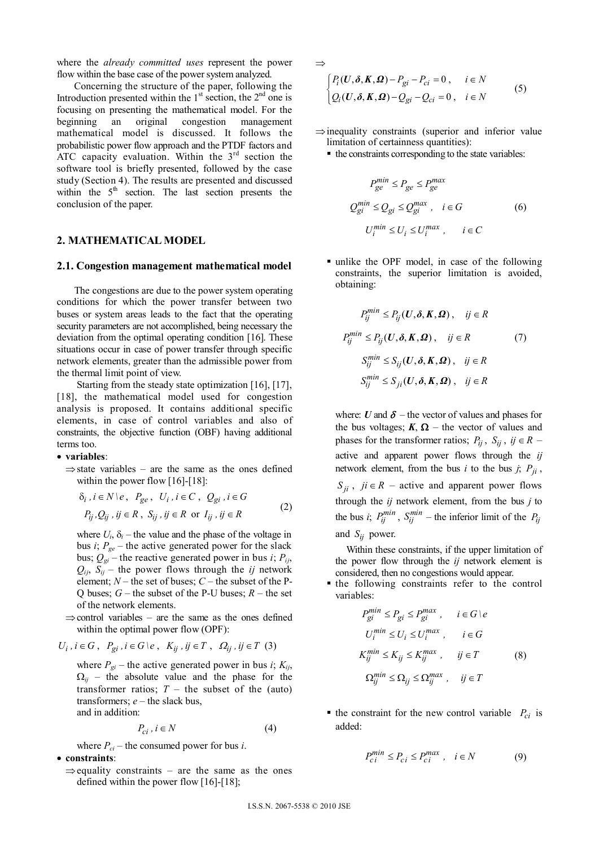where the *already committed uses* represent the power flow within the base case of the power system analyzed.

Concerning the structure of the paper, following the Introduction presented within the  $1<sup>st</sup>$  section, the  $2<sup>nd</sup>$  one is focusing on presenting the mathematical model. For the beginning an original congestion management mathematical model is discussed. It follows the probabilistic power flow approach and the PTDF factors and ATC capacity evaluation. Within the  $3<sup>rd</sup>$  section the software tool is briefly presented, followed by the case study (Section 4). The results are presented and discussed within the  $5<sup>th</sup>$  section. The last section presents the conclusion of the paper.

## **2. MATHEMATICAL MODEL**

#### **2.1. Congestion management mathematical model**

The congestions are due to the power system operating conditions for which the power transfer between two buses or system areas leads to the fact that the operating security parameters are not accomplished, being necessary the deviation from the optimal operating condition [16]. These situations occur in case of power transfer through specific network elements, greater than the admissible power from the thermal limit point of view.

Starting from the steady state optimization [16], [17], [18], the mathematical model used for congestion analysis is proposed. It contains additional specific elements, in case of control variables and also of constraints, the objective function (OBF) having additional terms too.

**variables**:

 $\Rightarrow$  state variables – are the same as the ones defined within the power flow [16]-[18]:

$$
\delta_i, i \in N \mid e, P_{ge}, U_i, i \in C, Q_{gi}, i \in G
$$
  

$$
P_{ij}, Q_{ij}, ij \in R, S_{ij}, ij \in R \text{ or } I_{ij}, ij \in R
$$
 (2)

where  $U_i$ ,  $\delta_i$  – the value and the phase of the voltage in bus *i*;  $P_{ge}$  – the active generated power for the slack bus;  $Q_{gi}$  – the reactive generated power in bus *i*;  $P_{ii}$ ,  $Q_{ii}$ ,  $S_{ii}$  – the power flows through the *ij* network element;  $N$  – the set of buses;  $C$  – the subset of the P-Q buses; *G* – the subset of the P-U buses; *R* – the set of the network elements.

 $\Rightarrow$  control variables – are the same as the ones defined within the optimal power flow (OPF):

$$
U_i, i \in G, P_{gi}, i \in G \mid e, K_{ij}, ij \in T, \Omega_{ij}, ij \in T \quad (3)
$$

where  $P_{gi}$  – the active generated power in bus *i*;  $K_{ij}$ ,  $\Omega_{ij}$  – the absolute value and the phase for the transformer ratios;  $T -$  the subset of the (auto) transformers; *e* – the slack bus, and in addition:

$$
P_{ci}, i \in N \tag{4}
$$

where  $P_{ci}$  – the consumed power for bus *i*.

- **constraints**:
	- $\Rightarrow$  equality constraints are the same as the ones defined within the power flow [16]-[18];

$$
\qquad \Rightarrow \qquad
$$

$$
\begin{cases} P_i(\mathbf{U}, \delta, \mathbf{K}, \mathbf{\Omega}) - P_{gi} - P_{ci} = 0, & i \in N \\ Q_i(\mathbf{U}, \delta, \mathbf{K}, \mathbf{\Omega}) - Q_{gi} - Q_{ci} = 0, & i \in N \end{cases}
$$
 (5)

 $\Rightarrow$  inequality constraints (superior and inferior value limitation of certainness quantities):

 $\blacksquare$  the constraints corresponding to the state variables:

$$
P_{ge}^{min} \le P_{ge} \le P_{ge}^{max}
$$
  

$$
Q_{gi}^{min} \le Q_{gi} \le Q_{gi}^{max}, \quad i \in G
$$
  

$$
U_i^{min} \le U_i \le U_i^{max}, \quad i \in C
$$
 (6)

 unlike the OPF model, in case of the following constraints, the superior limitation is avoided, obtaining:

$$
P_{ij}^{min} \le P_{ij}(\mathbf{U}, \delta, \mathbf{K}, \mathbf{\Omega}), \quad ij \in R
$$
  

$$
P_{ij}^{min} \le P_{ij}(\mathbf{U}, \delta, \mathbf{K}, \mathbf{\Omega}), \quad ij \in R
$$
  

$$
S_{ij}^{min} \le S_{ij}(\mathbf{U}, \delta, \mathbf{K}, \mathbf{\Omega}), \quad ij \in R
$$
  

$$
S_{ij}^{min} \le S_{ji}(\mathbf{U}, \delta, \mathbf{K}, \mathbf{\Omega}), \quad ij \in R
$$

where: *U* and  $\delta$  – the vector of values and phases for the bus voltages;  $K$ ,  $\Omega$  – the vector of values and phases for the transformer ratios;  $P_{ij}$ ,  $S_{ij}$ ,  $ij \in R$  – active and apparent power flows through the *ij* network element, from the bus *i* to the bus *j*;  $P_{ii}$ ,  $S_{ji}$ ,  $ji \in R$  – active and apparent power flows through the *ij* network element, from the bus *j* to the bus *i*;  $P_{ij}^{min}$ ,  $S_{ij}^{min}$  – the inferior limit of the  $P_{ij}$ and  $S_{ii}$  power.

Within these constraints, if the upper limitation of the power flow through the *ij* network element is considered, then no congestions would appear.

 $\blacksquare$  the following constraints refer to the control variables:

$$
P_{gi}^{min} \le P_{gi} \le P_{gi}^{max}, \quad i \in G \setminus e
$$
  
\n
$$
U_i^{min} \le U_i \le U_i^{max}, \quad i \in G
$$
  
\n
$$
K_{ij}^{min} \le K_{ij} \le K_{ij}^{max}, \quad ij \in T
$$
  
\n
$$
\Omega_{ij}^{min} \le \Omega_{ij} \le \Omega_{ij}^{max}, \quad ij \in T
$$
  
\n(8)

the constraint for the new control variable  $P_{ci}$  is added:

$$
P_{ci}^{min} \le P_{ci} \le P_{ci}^{max}, \quad i \in N \tag{9}
$$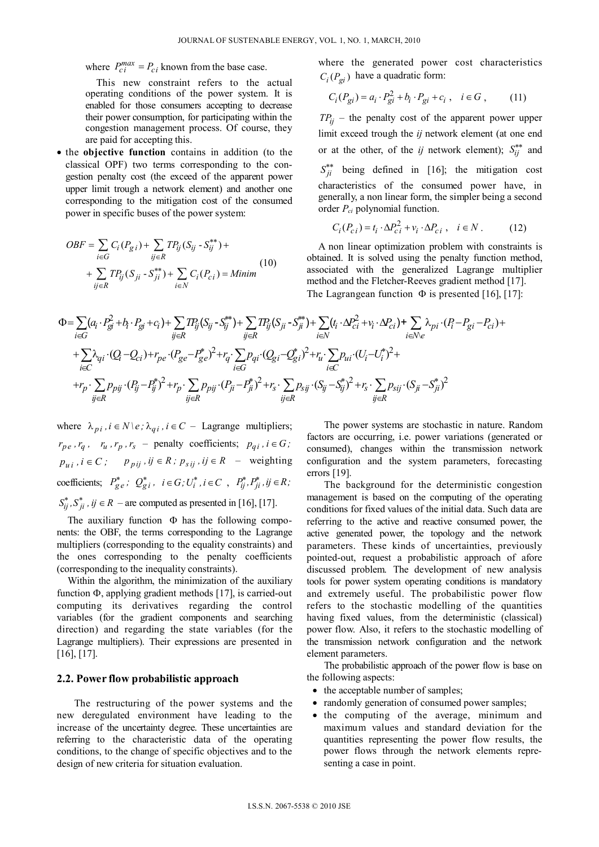where  $P_{ci}^{max} = P_{ci}$  known from the base case.

This new constraint refers to the actual operating conditions of the power system. It is enabled for those consumers accepting to decrease their power consumption, for participating within the congestion management process. Of course, they are paid for accepting this.

• the **objective function** contains in addition (to the classical OPF) two terms corresponding to the congestion penalty cost (the exceed of the apparent power upper limit trough a network element) and another one corresponding to the mitigation cost of the consumed power in specific buses of the power system:

$$
OBF = \sum_{i \in G} C_i (P_{gi}) + \sum_{ij \in R} TP_{ij} (S_{ij} - S_{ij}^{**}) + + \sum_{ij \in R} TP_{ij} (S_{ji} - S_{ji}^{**}) + \sum_{i \in N} C_i (P_{ci}) = Minim
$$
(10)

where the generated power cost characteristics  $C_i$ ( $P_{\alpha i}$ ) have a quadratic form:

$$
C_i(P_{gi}) = a_i \cdot P_{gi}^2 + b_i \cdot P_{gi} + c_i , \quad i \in G , \tag{11}
$$

 $TP_{ii}$  – the penalty cost of the apparent power upper limit exceed trough the *ij* network element (at one end or at the other, of the *ij* network element);  $S_{ij}^{**}$  and  $S_{ji}^{**}$  being defined in [16]; the mitigation cost characteristics of the consumed power have, in generally, a non linear form, the simpler being a second order *Pci* polynomial function.

$$
C_i(P_{ci}) = t_i \cdot \Delta P_{ci}^2 + v_i \cdot \Delta P_{ci} , \quad i \in N . \tag{12}
$$

A non linear optimization problem with constraints is obtained. It is solved using the penalty function method, associated with the generalized Lagrange multiplier method and the Fletcher-Reeves gradient method [17]. The Lagrangean function  $\Phi$  is presented [16], [17]:

$$
\Phi = \sum_{i \in G} (a_i \cdot P_{gi}^2 + b_i \cdot P_{gi} + c_i) + \sum_{ij \in R} T P_{ij} (S_{ij} - S_{ij}^{**}) + \sum_{ij \in R} T P_{ij} (S_{ji} - S_{ji}^{**}) + \sum_{i \in N} (t_i \cdot \Delta P_{ci}^2 + v_i \cdot \Delta P_{ci}) + \sum_{i \in N \in \mathbb{Z}} \lambda_{pi} \cdot (P_i - P_{gi} - P_{ci}) + \n+ \sum_{i \in C} \lambda_{qi} \cdot (Q_i - Q_{ci}) + r_{pe} \cdot (P_{ge} - P_{ge}^*)^2 + r_q \cdot \sum_{i \in G} p_{qi} \cdot (Q_{gi} - Q_{gi}^*)^2 + r_u \cdot \sum_{i \in C} p_{ui} \cdot (U_i - U_i^*)^2 + \n+ r_p \cdot \sum_{ij \in R} p_{pj} \cdot (P_{ij} - P_{ij}^*)^2 + r_p \cdot \sum_{ij \in R} p_{pj} \cdot (P_{ji} - P_{ji}^*)^2 + r_s \cdot \sum_{ij \in R} p_{sij} \cdot (S_{ij} - S_{ij}^*)^2 + r_s \cdot \sum_{ij \in R} p_{sij} \cdot (S_{ji} - S_{ji}^*)^2
$$

where  $\lambda_{pi}$ ,  $i \in N \mid e$ ;  $\lambda_{qi}$ ,  $i \in C$  – Lagrange multipliers;  $r_{pe}$ ,  $r_q$ ,  $r_u$ ,  $r_p$ ,  $r_s$  – penalty coefficients;  $p_{qi}$ ,  $i \in G$ ;  $p_{ui}$ ,  $i \in C$ ;  $p_{vij}$ ,  $ij \in R$ ;  $p_{sij}$ ,  $ij \in R$  – weighting coefficients;  $P_{ge}^*$ ;  $Q_{gi}^*$ ,  $i \in G$ ;  $U_i^*$ ,  $i \in C$ ,  $P_{ij}^*$ ,  $P_{ji}^*$ ,  $ij \in R$ ;  $S_{ii}^*$ ,  $S_{ii}^*$ ,  $ij \in R$  – are computed as presented in [16], [17].

The auxiliary function  $\Phi$  has the following components: the OBF, the terms corresponding to the Lagrange multipliers (corresponding to the equality constraints) and the ones corresponding to the penalty coefficients (corresponding to the inequality constraints).

Within the algorithm, the minimization of the auxiliary function  $\Phi$ , applying gradient methods [17], is carried-out computing its derivatives regarding the control variables (for the gradient components and searching direction) and regarding the state variables (for the Lagrange multipliers). Their expressions are presented in [16], [17].

### **2.2. Power flow probabilistic approach**

The restructuring of the power systems and the new deregulated environment have leading to the increase of the uncertainty degree. These uncertainties are referring to the characteristic data of the operating conditions, to the change of specific objectives and to the design of new criteria for situation evaluation.

The power systems are stochastic in nature. Random factors are occurring, i.e. power variations (generated or consumed), changes within the transmission network configuration and the system parameters, forecasting errors [19].

The background for the deterministic congestion management is based on the computing of the operating conditions for fixed values of the initial data. Such data are referring to the active and reactive consumed power, the active generated power, the topology and the network parameters. These kinds of uncertainties, previously pointed-out, request a probabilistic approach of afore discussed problem. The development of new analysis tools for power system operating conditions is mandatory and extremely useful. The probabilistic power flow refers to the stochastic modelling of the quantities having fixed values, from the deterministic (classical) power flow. Also, it refers to the stochastic modelling of the transmission network configuration and the network element parameters.

The probabilistic approach of the power flow is base on the following aspects:

- the acceptable number of samples;
- randomly generation of consumed power samples;
- the computing of the average, minimum and maximum values and standard deviation for the quantities representing the power flow results, the power flows through the network elements representing a case in point.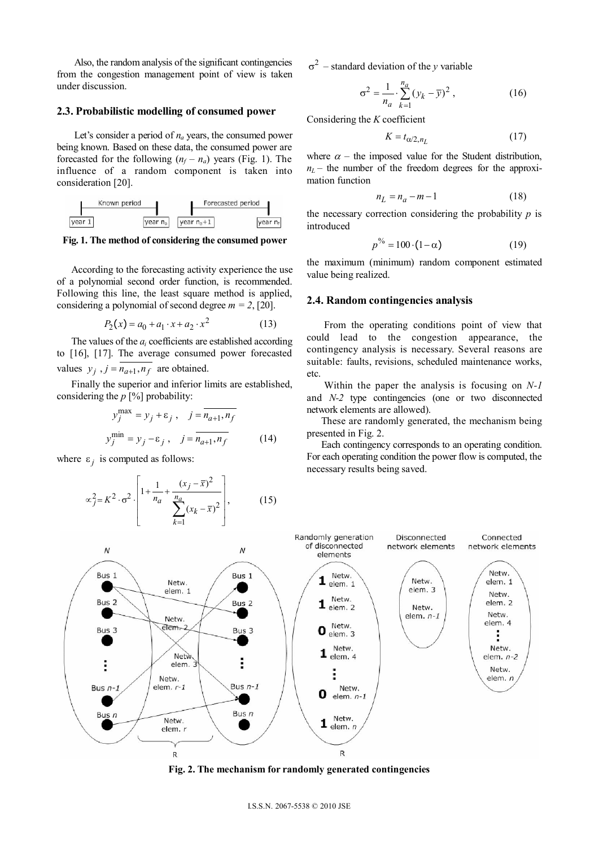Also, the random analysis of the significant contingencies from the congestion management point of view is taken under discussion.

### **2.3. Probabilistic modelling of consumed power**

Let's consider a period of  $n_a$  years, the consumed power being known. Based on these data, the consumed power are forecasted for the following  $(n_f - n_a)$  years (Fig. 1). The influence of a random component is taken into consideration [20].



**Fig. 1. The method of considering the consumed power** 

According to the forecasting activity experience the use of a polynomial second order function, is recommended. Following this line, the least square method is applied, considering a polynomial of second degree  $m = 2$ , [20].

$$
P_2(x) = a_0 + a_1 \cdot x + a_2 \cdot x^2 \tag{13}
$$

The values of the *ai* coefficients are established according to [16], [17]. The average consumed power forecasted values  $y_i$ ,  $j = n_{a+1}$ ,  $n_f$  are obtained.

Finally the superior and inferior limits are established, considering the  $p$  [%] probability:

$$
y_j^{\max} = y_j + \varepsilon_j, \quad j = \overline{n_{a+1}, n_f}
$$
  

$$
y_j^{\min} = y_j - \varepsilon_j, \quad j = \overline{n_{a+1}, n_f}
$$
 (14)

where  $\varepsilon_i$  is computed as follows:



 $\sigma^2$  – standard deviation of the *y* variable

$$
\sigma^2 = \frac{1}{n_a} \cdot \sum_{k=1}^{n_a} (y_k - \bar{y})^2 , \qquad (16)
$$

Considering the *K* coefficient

$$
K = t_{\alpha/2, n_L} \tag{17}
$$

where  $\alpha$  – the imposed value for the Student distribution,  $n_l$  – the number of the freedom degrees for the approximation function

$$
n_L = n_a - m - 1 \tag{18}
$$

the necessary correction considering the probability  $p$  is introduced

$$
p^{\%} = 100 \cdot (1 - \alpha) \tag{19}
$$

the maximum (minimum) random component estimated value being realized.

#### **2.4. Random contingencies analysis**

From the operating conditions point of view that could lead to the congestion appearance, the contingency analysis is necessary. Several reasons are suitable: faults, revisions, scheduled maintenance works, etc.

Within the paper the analysis is focusing on *N-1* and *N-2* type contingencies (one or two disconnected network elements are allowed).

These are randomly generated, the mechanism being presented in Fig. 2.

Each contingency corresponds to an operating condition. For each operating condition the power flow is computed, the necessary results being saved.



**Fig. 2. The mechanism for randomly generated contingencies**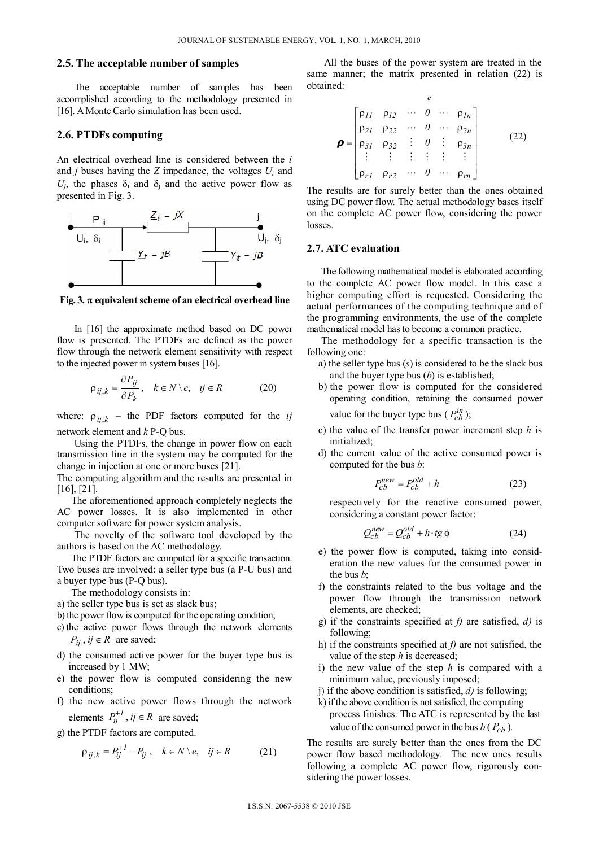### **2.5. The acceptable number of samples**

The acceptable number of samples has been accomplished according to the methodology presented in [16]. A Monte Carlo simulation has been used.

#### **2.6. PTDFs computing**

An electrical overhead line is considered between the *i* and *j* buses having the *Z* impedance, the voltages *Ui* and  $U_j$ , the phases  $\delta_i$  and  $\delta_j$  and the active power flow as presented in Fig. 3.



**Fig. 3.**  $\pi$  equivalent scheme of an electrical overhead line

In [16] the approximate method based on DC power flow is presented. The PTDFs are defined as the power flow through the network element sensitivity with respect to the injected power in system buses [16].

$$
\rho_{ij,k} = \frac{\partial P_{ij}}{\partial P_k}, \quad k \in N \setminus e, \quad ij \in R \tag{20}
$$

where:  $\rho_{ii,k}$  – the PDF factors computed for the *ij* network element and *k* P-Q bus.

Using the PTDFs, the change in power flow on each transmission line in the system may be computed for the change in injection at one or more buses [21].

The computing algorithm and the results are presented in [16], [21].

The aforementioned approach completely neglects the AC power losses. It is also implemented in other computer software for power system analysis.

The novelty of the software tool developed by the authors is based on the AC methodology.

The PTDF factors are computed for a specific transaction. Two buses are involved: a seller type bus (a P-U bus) and a buyer type bus (P-Q bus).

The methodology consists in:

a) the seller type bus is set as slack bus;

b) the power flow is computed for the operating condition;

c) the active power flows through the network elements  $P_{ij}$ ,  $ij \in R$  are saved;

- d) the consumed active power for the buyer type bus is increased by 1 MW;
- e) the power flow is computed considering the new conditions;
- f) the new active power flows through the network elements  $P_{ij}^{+1}$ ,  $ij \in R$  are saved;
- g) the PTDF factors are computed.

$$
\rho_{ij,k} = P_{ij}^{+1} - P_{ij} , \quad k \in N \setminus e, \quad ij \in R \tag{21}
$$

All the buses of the power system are treated in the same manner; the matrix presented in relation (22) is obtained:

*e*

$$
\mathbf{p} = \begin{bmatrix} \rho_{11} & \rho_{12} & \cdots & 0 & \cdots & \rho_{1n} \\ \rho_{21} & \rho_{22} & \cdots & 0 & \cdots & \rho_{2n} \\ \rho_{31} & \rho_{32} & \vdots & 0 & \vdots & \rho_{3n} \\ \vdots & \vdots & \vdots & \vdots & \vdots & \vdots \\ \rho_{r1} & \rho_{r2} & \cdots & 0 & \cdots & \rho_{rn} \end{bmatrix}
$$
 (22)

The results are for surely better than the ones obtained using DC power flow. The actual methodology bases itself on the complete AC power flow, considering the power losses.

### **2.7. ATC evaluation**

The following mathematical model is elaborated according to the complete AC power flow model. In this case a higher computing effort is requested. Considering the actual performances of the computing technique and of the programming environments, the use of the complete mathematical model has to become a common practice.

The methodology for a specific transaction is the following one:

- a) the seller type bus (*s*) is considered to be the slack bus and the buyer type bus (*b*) is established;
- b) the power flow is computed for the considered operating condition, retaining the consumed power value for the buyer type bus ( $P_{ch}^{in}$ );
- c) the value of the transfer power increment step *h* is initialized;
- d) the current value of the active consumed power is computed for the bus *b*:

$$
P_{cb}^{new} = P_{cb}^{old} + h \tag{23}
$$

respectively for the reactive consumed power, considering a constant power factor:

$$
Q_{cb}^{new} = Q_{cb}^{old} + h \cdot tg \phi
$$
 (24)

- e) the power flow is computed, taking into consideration the new values for the consumed power in the bus *b*;
- f) the constraints related to the bus voltage and the power flow through the transmission network elements, are checked;
- g) if the constraints specified at *f)* are satisfied, *d)* is following;
- h) if the constraints specified at *f)* are not satisfied, the value of the step *h* is decreased;
- i) the new value of the step *h* is compared with a minimum value, previously imposed;
- j) if the above condition is satisfied, *d)* is following;
- k) if the above condition is not satisfied, the computing process finishes. The ATC is represented by the last value of the consumed power in the bus  $b(P_{ch})$ .

The results are surely better than the ones from the DC power flow based methodology. The new ones results following a complete AC power flow, rigorously considering the power losses.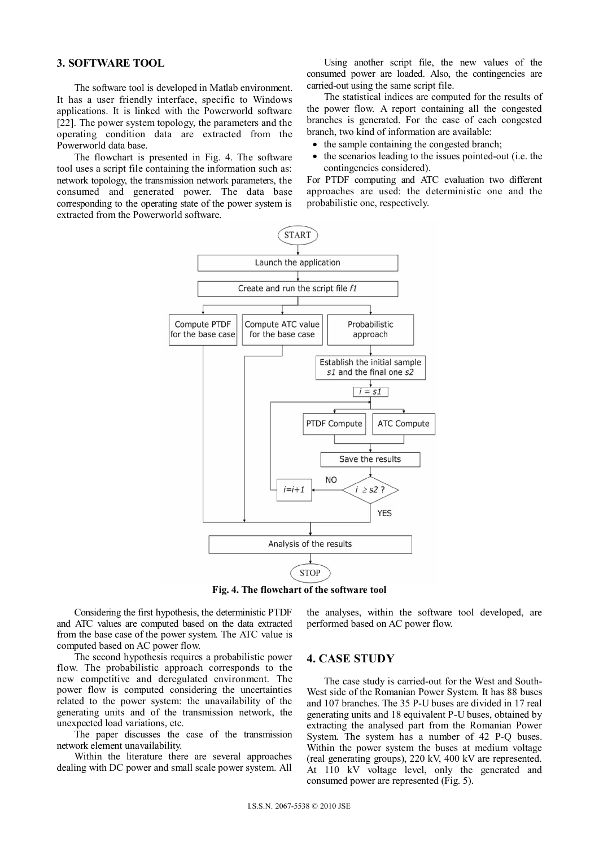## **3. SOFTWARE TOOL**

The software tool is developed in Matlab environment. It has a user friendly interface, specific to Windows applications. It is linked with the Powerworld software [22]. The power system topology, the parameters and the operating condition data are extracted from the Powerworld data base.

The flowchart is presented in Fig. 4. The software tool uses a script file containing the information such as: network topology, the transmission network parameters, the consumed and generated power. The data base corresponding to the operating state of the power system is extracted from the Powerworld software.

Using another script file, the new values of the consumed power are loaded. Also, the contingencies are carried-out using the same script file.

The statistical indices are computed for the results of the power flow. A report containing all the congested branches is generated. For the case of each congested branch, two kind of information are available:

- the sample containing the congested branch;
- the scenarios leading to the issues pointed-out (i.e. the contingencies considered).

For PTDF computing and ATC evaluation two different approaches are used: the deterministic one and the probabilistic one, respectively.



**Fig. 4. The flowchart of the software tool** 

Considering the first hypothesis, the deterministic PTDF and ATC values are computed based on the data extracted from the base case of the power system. The ATC value is computed based on AC power flow.

The second hypothesis requires a probabilistic power flow. The probabilistic approach corresponds to the new competitive and deregulated environment. The power flow is computed considering the uncertainties related to the power system: the unavailability of the generating units and of the transmission network, the unexpected load variations, etc.

The paper discusses the case of the transmission network element unavailability.

Within the literature there are several approaches dealing with DC power and small scale power system. All the analyses, within the software tool developed, are performed based on AC power flow.

# **4. CASE STUDY**

The case study is carried-out for the West and South-West side of the Romanian Power System. It has 88 buses and 107 branches. The 35 P-U buses are divided in 17 real generating units and 18 equivalent P-U buses, obtained by extracting the analysed part from the Romanian Power System. The system has a number of 42 P-Q buses. Within the power system the buses at medium voltage (real generating groups), 220 kV, 400 kV are represented. At 110 kV voltage level, only the generated and consumed power are represented (Fig. 5).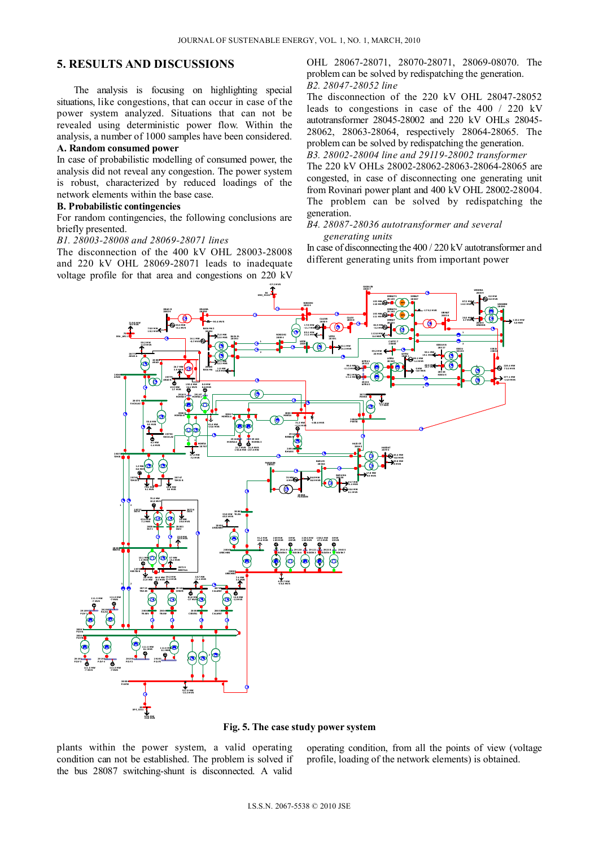# **5. RESULTS AND DISCUSSIONS**

 The analysis is focusing on highlighting special situations, like congestions, that can occur in case of the power system analyzed. Situations that can not be revealed using deterministic power flow. Within the analysis, a number of 1000 samples have been considered.

# **A. Random consumed power**

In case of probabilistic modelling of consumed power, the analysis did not reveal any congestion. The power system is robust, characterized by reduced loadings of the network elements within the base case.

### **B. Probabilistic contingencies**

For random contingencies, the following conclusions are briefly presented.

# *B1. 28003-28008 and 28069-28071 lines*

The disconnection of the 400 kV OHL 28003-28008 and 220 kV OHL 28069-28071 leads to inadequate voltage profile for that area and congestions on 220 kV

OHL 28067-28071, 28070-28071, 28069-08070. The problem can be solved by redispatching the generation. *B2. 28047-28052 line* 

The disconnection of the 220 kV OHL 28047-28052 leads to congestions in case of the 400 / 220 kV autotransformer 28045-28002 and 220 kV OHLs 28045- 28062, 28063-28064, respectively 28064-28065. The problem can be solved by redispatching the generation.

*B3. 28002-28004 line and 29119-28002 transformer*  The 220 kV OHLs 28002-28062-28063-28064-28065 are congested, in case of disconnecting one generating unit from Rovinari power plant and 400 kV OHL 28002-28004. The problem can be solved by redispatching the generation.

### *B4. 28087-28036 autotransformer and several generating units*

In case of disconnecting the 400 / 220 kV autotransformer and different generating units from important power



**Fig. 5. The case study power system** 

plants within the power system, a valid operating condition can not be established. The problem is solved if the bus 28087 switching-shunt is disconnected. A valid

operating condition, from all the points of view (voltage profile, loading of the network elements) is obtained.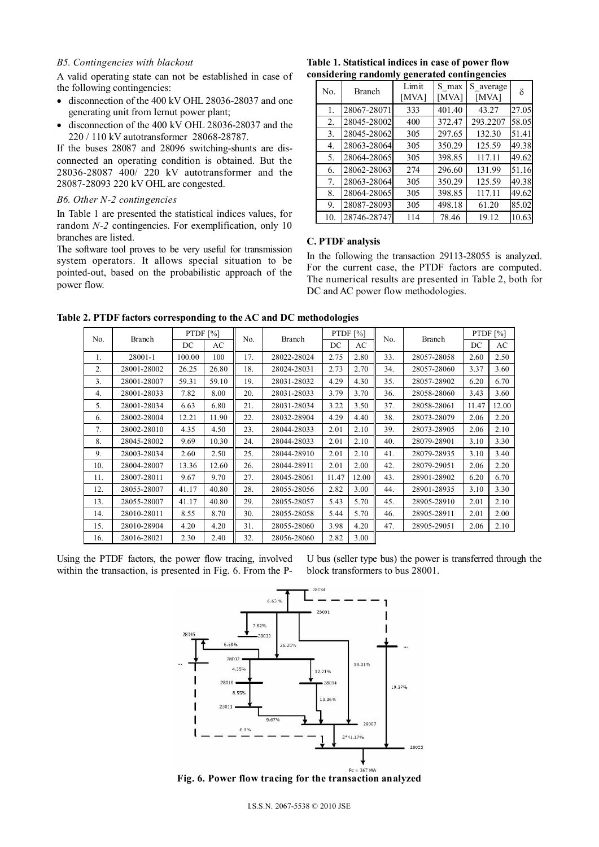### *B5. Contingencies with blackout*

A valid operating state can not be established in case of the following contingencies:

- disconnection of the 400 kV OHL 28036-28037 and one generating unit from Iernut power plant;
- disconnection of the 400 kV OHL 28036-28037 and the 220 / 110 kV autotransformer 28068-28787.

If the buses 28087 and 28096 switching-shunts are disconnected an operating condition is obtained. But the 28036-28087 400/ 220 kV autotransformer and the 28087-28093 220 kV OHL are congested.

#### *B6. Other N-2 contingencies*

In Table 1 are presented the statistical indices values, for random *N-2* contingencies. For exemplification, only 10 branches are listed.

The software tool proves to be very useful for transmission system operators. It allows special situation to be pointed-out, based on the probabilistic approach of the power flow.

**Table 1. Statistical indices in case of power flow considering randomly generated contingencies** 

| No. | <b>Branch</b> | Limit<br>[MVA] | S max<br>[MVA] | S average<br>[MVA] | δ     |
|-----|---------------|----------------|----------------|--------------------|-------|
| 1.  | 28067-28071   | 333            | 401.40         | 43.27              | 27.05 |
| 2.  | 28045-28002   | 400            | 372.47         | 293.2207           | 58.05 |
| 3.  | 28045-28062   | 305            | 297.65         | 132.30             | 51.41 |
| 4.  | 28063-28064   | 305            | 350.29         | 125.59             | 49.38 |
| 5.  | 28064-28065   | 305            | 398.85         | 117.11             | 49.62 |
| 6.  | 28062-28063   | 274            | 296.60         | 131.99             | 51.16 |
| 7.  | 28063-28064   | 305            | 350.29         | 125.59             | 49.38 |
| 8.  | 28064-28065   | 305            | 398.85         | 117.11             | 49.62 |
| 9.  | 28087-28093   | 305            | 498.18         | 61.20              | 85.02 |
| 10. | 28746-28747   | 114            | 78.46          | 19.12              | 10.63 |

#### **C. PTDF analysis**

In the following the transaction 29113-28055 is analyzed. For the current case, the PTDF factors are computed. The numerical results are presented in Table 2, both for DC and AC power flow methodologies.

**Table 2. PTDF factors corresponding to the AC and DC methodologies** 

|                | No.<br>Branch | PTDF $[%]$ |       | No. | <b>Branch</b> | PTDF [%]     |       | No. | Branch      | PTDF [%] |       |
|----------------|---------------|------------|-------|-----|---------------|--------------|-------|-----|-------------|----------|-------|
|                |               | DC         | AC    |     |               | DC           | AC    |     |             | DC       | AC    |
| 1.             | 28001-1       | 100.00     | 100   | 17. | 28022-28024   | 2.75<br>2.80 |       | 33. | 28057-28058 | 2.60     | 2.50  |
| 2.             | 28001-28002   | 26.25      | 26.80 | 18. | 28024-28031   | 2.73         | 2.70  | 34. | 28057-28060 | 3.37     | 3.60  |
| 3 <sub>1</sub> | 28001-28007   | 59.31      | 59.10 | 19. | 28031-28032   | 4.29         | 4.30  | 35. | 28057-28902 | 6.20     | 6.70  |
| 4.             | 28001-28033   | 7.82       | 8.00  | 20. | 28031-28033   | 3.79         | 3.70  | 36. | 28058-28060 | 3.43     | 3.60  |
| 5.             | 28001-28034   | 6.63       | 6.80  | 21. | 28031-28034   | 3.22         | 3.50  | 37. | 28058-28061 | 11.47    | 12.00 |
| 6.             | 28002-28004   | 12.21      | 11.90 | 22. | 28032-28904   | 4.29         | 4.40  | 38. | 28073-28079 | 2.06     | 2.20  |
| 7.             | 28002-28010   | 4.35       | 4.50  | 23. | 28044-28033   | 2.01         | 2.10  | 39. | 28073-28905 | 2.06     | 2.10  |
| 8.             | 28045-28002   | 9.69       | 10.30 | 24. | 28044-28033   | 2.01         | 2.10  | 40. | 28079-28901 | 3.10     | 3.30  |
| 9.             | 28003-28034   | 2.60       | 2.50  | 25. | 28044-28910   | 2.01         | 2.10  | 41. | 28079-28935 | 3.10     | 3.40  |
| 10.            | 28004-28007   | 13.36      | 12.60 | 26. | 28044-28911   | 2.01         | 2.00  | 42. | 28079-29051 | 2.06     | 2.20  |
| 11.            | 28007-28011   | 9.67       | 9.70  | 27. | 28045-28061   | 11.47        | 12.00 | 43. | 28901-28902 | 6.20     | 6.70  |
| 12.            | 28055-28007   | 41.17      | 40.80 | 28. | 28055-28056   | 2.82         | 3.00  | 44. | 28901-28935 | 3.10     | 3.30  |
| 13.            | 28055-28007   | 41.17      | 40.80 | 29. | 28055-28057   | 5.43         | 5.70  | 45. | 28905-28910 | 2.01     | 2.10  |
| 14.            | 28010-28011   | 8.55       | 8.70  | 30. | 28055-28058   | 5.44         | 5.70  | 46. | 28905-28911 | 2.01     | 2.00  |
| 15.            | 28010-28904   | 4.20       | 4.20  | 31. | 28055-28060   | 3.98         | 4.20  | 47. | 28905-29051 | 2.06     | 2.10  |
| 16.            | 28016-28021   | 2.30       | 2.40  | 32. | 28056-28060   | 2.82         | 3.00  |     |             |          |       |

Using the PTDF factors, the power flow tracing, involved within the transaction, is presented in Fig. 6. From the P-

U bus (seller type bus) the power is transferred through the block transformers to bus 28001.



**Fig. 6. Power flow tracing for the transaction analyzed**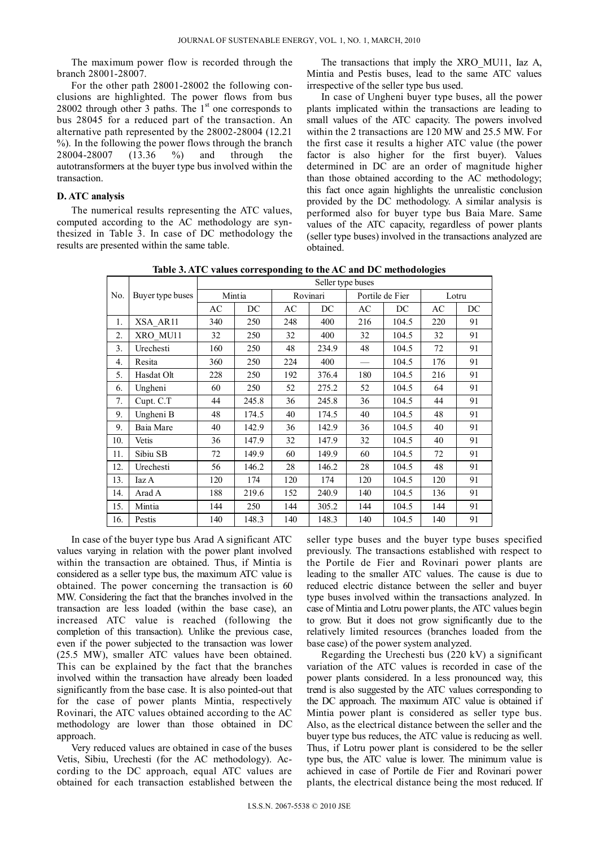The maximum power flow is recorded through the branch 28001-28007.

For the other path 28001-28002 the following conclusions are highlighted. The power flows from bus 28002 through other 3 paths. The  $1<sup>st</sup>$  one corresponds to bus 28045 for a reduced part of the transaction. An alternative path represented by the 28002-28004 (12.21 %). In the following the power flows through the branch 28004-28007 (13.36 %) and through the autotransformers at the buyer type bus involved within the transaction.

#### **D. ATC analysis**

The numerical results representing the ATC values, computed according to the AC methodology are synthesized in Table 3. In case of DC methodology the results are presented within the same table.

The transactions that imply the XRO MU11, Iaz A, Mintia and Pestis buses, lead to the same ATC values irrespective of the seller type bus used.

In case of Ungheni buyer type buses, all the power plants implicated within the transactions are leading to small values of the ATC capacity. The powers involved within the 2 transactions are 120 MW and 25.5 MW. For the first case it results a higher ATC value (the power factor is also higher for the first buyer). Values determined in DC are an order of magnitude higher than those obtained according to the AC methodology; this fact once again highlights the unrealistic conclusion provided by the DC methodology. A similar analysis is performed also for buyer type bus Baia Mare. Same values of the ATC capacity, regardless of power plants (seller type buses) involved in the transactions analyzed are obtained.

**Table 3. ATC values corresponding to the AC and DC methodologies** 

|     |                  | Seller type buses |       |     |          |     |                 |     |       |  |
|-----|------------------|-------------------|-------|-----|----------|-----|-----------------|-----|-------|--|
| No. | Buyer type buses | Mintia            |       |     | Rovinari |     | Portile de Fier |     | Lotru |  |
|     |                  | AC                | DC    | AC  | DC       | AC  | DC              | AC  | DC    |  |
| 1.  | XSA AR11         | 340               | 250   | 248 | 400      | 216 | 104.5           | 220 | 91    |  |
| 2.  | XRO MU11         | 32                | 250   | 32  | 400      | 32  | 104.5           | 32  | 91    |  |
| 3.  | Urechesti        | 160               | 250   | 48  | 234.9    | 48  | 104.5           | 72  | 91    |  |
| 4.  | Resita           | 360               | 250   | 224 | 400      |     | 104.5           | 176 | 91    |  |
| 5.  | Hasdat Olt       | 228               | 250   | 192 | 376.4    | 180 | 104.5           | 216 | 91    |  |
| 6.  | Ungheni          | 60                | 250   | 52  | 275.2    | 52  | 104.5           | 64  | 91    |  |
| 7.  | Cupt. C.T        | 44                | 245.8 | 36  | 245.8    | 36  | 104.5           | 44  | 91    |  |
| 9.  | Ungheni B        | 48                | 174.5 | 40  | 174.5    | 40  | 104.5           | 48  | 91    |  |
| 9.  | Baia Mare        | 40                | 142.9 | 36  | 142.9    | 36  | 104.5           | 40  | 91    |  |
| 10. | Vetis            | 36                | 147.9 | 32  | 147.9    | 32  | 104.5           | 40  | 91    |  |
| 11. | Sibiu SB         | 72                | 149.9 | 60  | 149.9    | 60  | 104.5           | 72  | 91    |  |
| 12. | Urechesti        | 56                | 146.2 | 28  | 146.2    | 28  | 104.5           | 48  | 91    |  |
| 13. | Iaz A            | 120               | 174   | 120 | 174      | 120 | 104.5           | 120 | 91    |  |
| 14. | Arad A           | 188               | 219.6 | 152 | 240.9    | 140 | 104.5           | 136 | 91    |  |
| 15. | Mintia           | 144               | 250   | 144 | 305.2    | 144 | 104.5           | 144 | 91    |  |
| 16. | Pestis           | 140               | 148.3 | 140 | 148.3    | 140 | 104.5           | 140 | 91    |  |

In case of the buyer type bus Arad A significant ATC values varying in relation with the power plant involved within the transaction are obtained. Thus, if Mintia is considered as a seller type bus, the maximum ATC value is obtained. The power concerning the transaction is 60 MW. Considering the fact that the branches involved in the transaction are less loaded (within the base case), an increased ATC value is reached (following the completion of this transaction). Unlike the previous case, even if the power subjected to the transaction was lower (25.5 MW), smaller ATC values have been obtained. This can be explained by the fact that the branches involved within the transaction have already been loaded significantly from the base case. It is also pointed-out that for the case of power plants Mintia, respectively Rovinari, the ATC values obtained according to the AC methodology are lower than those obtained in DC approach.

Very reduced values are obtained in case of the buses Vetis, Sibiu, Urechesti (for the AC methodology). According to the DC approach, equal ATC values are obtained for each transaction established between the

seller type buses and the buyer type buses specified previously. The transactions established with respect to the Portile de Fier and Rovinari power plants are leading to the smaller ATC values. The cause is due to reduced electric distance between the seller and buyer type buses involved within the transactions analyzed. In case of Mintia and Lotru power plants, the ATC values begin to grow. But it does not grow significantly due to the relatively limited resources (branches loaded from the base case) of the power system analyzed.

Regarding the Urechesti bus (220 kV) a significant variation of the ATC values is recorded in case of the power plants considered. In a less pronounced way, this trend is also suggested by the ATC values corresponding to the DC approach. The maximum ATC value is obtained if Mintia power plant is considered as seller type bus. Also, as the electrical distance between the seller and the buyer type bus reduces, the ATC value is reducing as well. Thus, if Lotru power plant is considered to be the seller type bus, the ATC value is lower. The minimum value is achieved in case of Portile de Fier and Rovinari power plants, the electrical distance being the most reduced. If